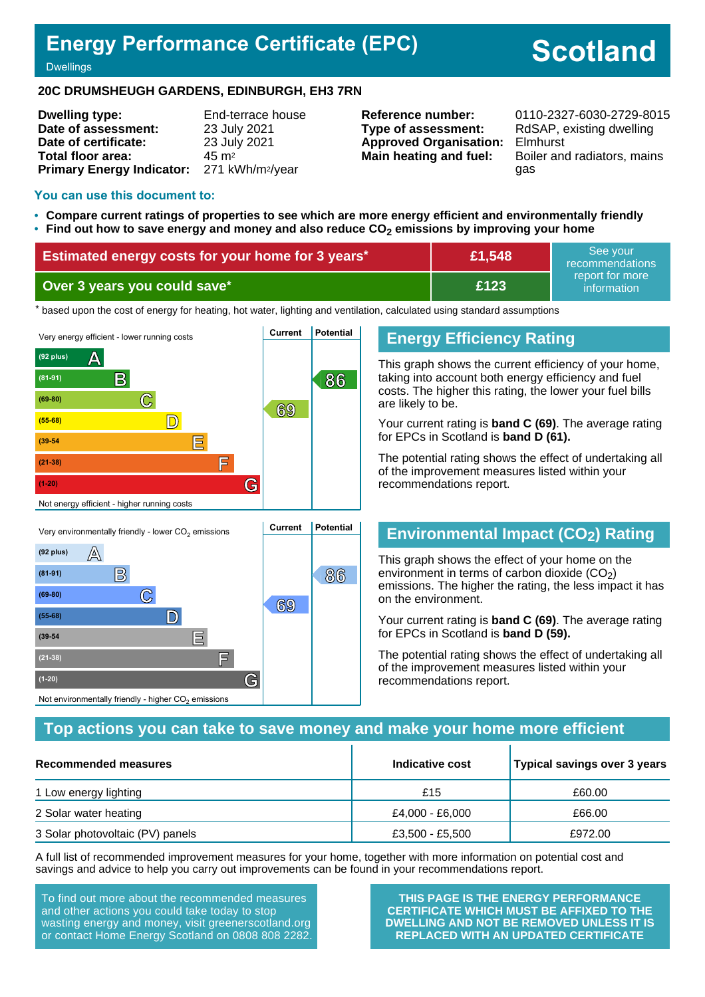## **Energy Performance Certificate (EPC)**

# **Scotland**

**Dwellings** 

#### **20C DRUMSHEUGH GARDENS, EDINBURGH, EH3 7RN**

| <b>Dwelling type:</b>                                  | End-terrace house |
|--------------------------------------------------------|-------------------|
| Date of assessment:                                    | 23 July 2021      |
| Date of certificate:                                   | 23 July 2021      |
| Total floor area:                                      | $45 \text{ m}^2$  |
| Primary Energy Indicator: 271 kWh/m <sup>2</sup> /year |                   |

**Type of assessment:** RdSAP, existing dwelling **Approved Organisation:** Elmhurst

**Reference number:** 0110-2327-6030-2729-8015 **Main heating and fuel:** Boiler and radiators, mains gas

#### **You can use this document to:**

- **Compare current ratings of properties to see which are more energy efficient and environmentally friendly**
- **Find out how to save energy and money and also reduce CO2 emissions by improving your home**

| <b>Estimated energy costs for your home for 3 years*</b> | £1,548 | See vour<br>recommendations                   |
|----------------------------------------------------------|--------|-----------------------------------------------|
| Over 3 years you could save*                             | £123   | report for more !<br>information <sup>1</sup> |

the based upon the cost of energy for heating, hot water, lighting and ventilation, calculated using standard assumptions



#### **Energy Efficiency Rating**

This graph shows the current efficiency of your home, taking into account both energy efficiency and fuel costs. The higher this rating, the lower your fuel bills are likely to be.

Your current rating is **band C (69)**. The average rating for EPCs in Scotland is **band D (61).**

The potential rating shows the effect of undertaking all of the improvement measures listed within your recommendations report.

## **Environmental Impact (CO2) Rating**

This graph shows the effect of your home on the environment in terms of carbon dioxide  $(CO<sub>2</sub>)$ emissions. The higher the rating, the less impact it has on the environment.

Your current rating is **band C (69)**. The average rating for EPCs in Scotland is **band D (59).**

The potential rating shows the effect of undertaking all of the improvement measures listed within your recommendations report.

#### **Top actions you can take to save money and make your home more efficient**

| Recommended measures             | Indicative cost | Typical savings over 3 years |
|----------------------------------|-----------------|------------------------------|
| 1 Low energy lighting            | £15             | £60.00                       |
| 2 Solar water heating            | £4,000 - £6,000 | £66.00                       |
| 3 Solar photovoltaic (PV) panels | £3,500 - £5,500 | £972.00                      |

A full list of recommended improvement measures for your home, together with more information on potential cost and savings and advice to help you carry out improvements can be found in your recommendations report.

To find out more about the recommended measures and other actions you could take today to stop wasting energy and money, visit greenerscotland.org or contact Home Energy Scotland on 0808 808 2282.

**(21-38) F**

Not environmentally friendly - higher  $\mathrm{CO}_2$  emissions

**(1-20) G**

**THIS PAGE IS THE ENERGY PERFORMANCE CERTIFICATE WHICH MUST BE AFFIXED TO THE DWELLING AND NOT BE REMOVED UNLESS IT IS REPLACED WITH AN UPDATED CERTIFICATE**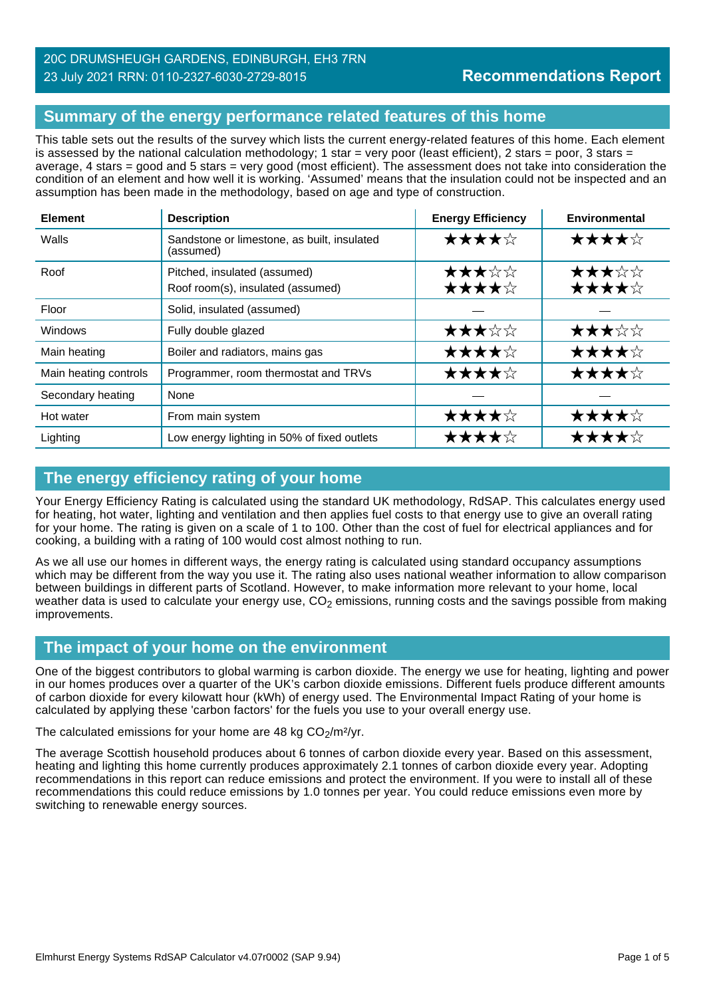## 20C DRUMSHEUGH GARDENS, EDINBURGH, EH3 7RN 23 July 2021 RRN: 0110-2327-6030-2729-8015

## **Summary of the energy performance related features of this home**

This table sets out the results of the survey which lists the current energy-related features of this home. Each element is assessed by the national calculation methodology; 1 star = very poor (least efficient), 2 stars = poor, 3 stars = average, 4 stars = good and 5 stars = very good (most efficient). The assessment does not take into consideration the condition of an element and how well it is working. 'Assumed' means that the insulation could not be inspected and an assumption has been made in the methodology, based on age and type of construction.

| <b>Element</b>        | <b>Description</b>                                                | <b>Energy Efficiency</b> | <b>Environmental</b> |
|-----------------------|-------------------------------------------------------------------|--------------------------|----------------------|
| Walls                 | Sandstone or limestone, as built, insulated<br>(assumed)          | ★★★★☆                    | ★★★★☆                |
| Roof                  | Pitched, insulated (assumed)<br>Roof room(s), insulated (assumed) | ★★★☆☆<br>★★★★☆           | ★★★☆☆<br>★★★★☆       |
| Floor                 | Solid, insulated (assumed)                                        |                          |                      |
| Windows               | Fully double glazed                                               | ★★★☆☆                    | ★★★☆☆                |
| Main heating          | Boiler and radiators, mains gas                                   | ★★★★☆                    | ★★★★☆                |
| Main heating controls | Programmer, room thermostat and TRVs                              | ★★★★☆                    | ★★★★☆                |
| Secondary heating     | None                                                              |                          |                      |
| Hot water             | From main system                                                  | ★★★★☆                    | ★★★★☆                |
| Lighting              | Low energy lighting in 50% of fixed outlets                       | ★★★★☆                    | ★★★★☆                |

## **The energy efficiency rating of your home**

Your Energy Efficiency Rating is calculated using the standard UK methodology, RdSAP. This calculates energy used for heating, hot water, lighting and ventilation and then applies fuel costs to that energy use to give an overall rating for your home. The rating is given on a scale of 1 to 100. Other than the cost of fuel for electrical appliances and for cooking, a building with a rating of 100 would cost almost nothing to run.

As we all use our homes in different ways, the energy rating is calculated using standard occupancy assumptions which may be different from the way you use it. The rating also uses national weather information to allow comparison between buildings in different parts of Scotland. However, to make information more relevant to your home, local weather data is used to calculate your energy use,  $CO<sub>2</sub>$  emissions, running costs and the savings possible from making improvements.

#### **The impact of your home on the environment**

One of the biggest contributors to global warming is carbon dioxide. The energy we use for heating, lighting and power in our homes produces over a quarter of the UK's carbon dioxide emissions. Different fuels produce different amounts of carbon dioxide for every kilowatt hour (kWh) of energy used. The Environmental Impact Rating of your home is calculated by applying these 'carbon factors' for the fuels you use to your overall energy use.

The calculated emissions for your home are 48 kg  $CO<sub>2</sub>/m<sup>2</sup>/yr$ .

The average Scottish household produces about 6 tonnes of carbon dioxide every year. Based on this assessment, heating and lighting this home currently produces approximately 2.1 tonnes of carbon dioxide every year. Adopting recommendations in this report can reduce emissions and protect the environment. If you were to install all of these recommendations this could reduce emissions by 1.0 tonnes per year. You could reduce emissions even more by switching to renewable energy sources.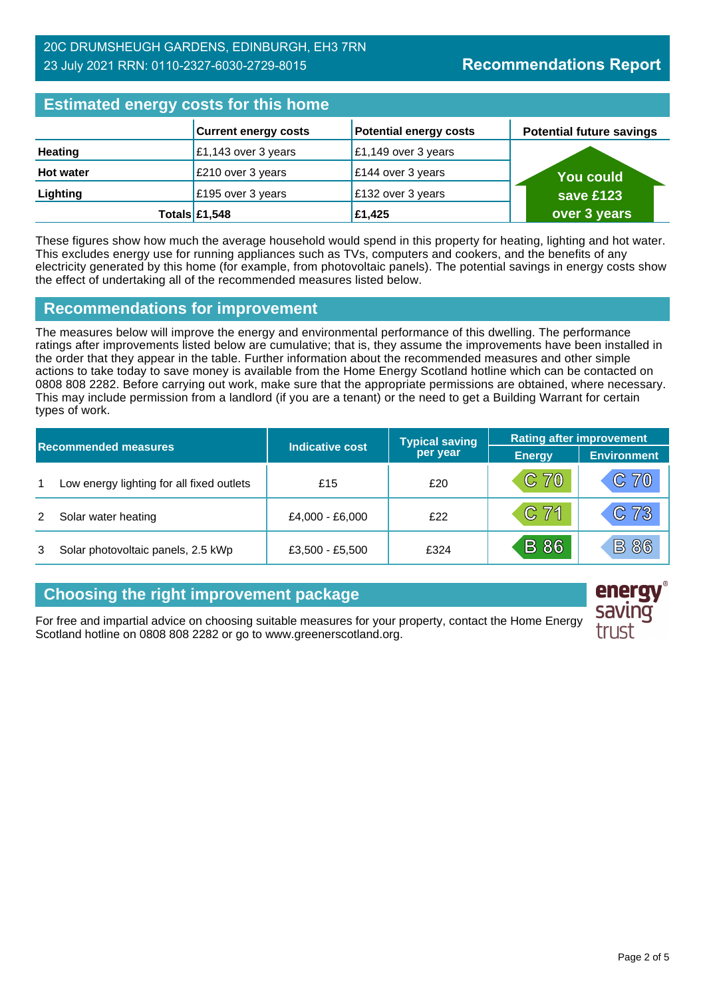| <b>Estimated energy costs for this home</b> |                             |                               |                                 |
|---------------------------------------------|-----------------------------|-------------------------------|---------------------------------|
|                                             | <b>Current energy costs</b> | <b>Potential energy costs</b> | <b>Potential future savings</b> |
| <b>Heating</b>                              | £1,143 over 3 years         | £1,149 over 3 years           |                                 |
| <b>Hot water</b>                            | £210 over 3 years           | $\epsilon$ 144 over 3 years   | <b>You could</b>                |
| Lighting                                    | £195 over 3 years           | £132 over 3 years             | save £123                       |
|                                             | Totals $£1,548$             | £1,425                        | over 3 years                    |

These figures show how much the average household would spend in this property for heating, lighting and hot water. This excludes energy use for running appliances such as TVs, computers and cookers, and the benefits of any electricity generated by this home (for example, from photovoltaic panels). The potential savings in energy costs show the effect of undertaking all of the recommended measures listed below.

#### **Recommendations for improvement**

The measures below will improve the energy and environmental performance of this dwelling. The performance ratings after improvements listed below are cumulative; that is, they assume the improvements have been installed in the order that they appear in the table. Further information about the recommended measures and other simple actions to take today to save money is available from the Home Energy Scotland hotline which can be contacted on 0808 808 2282. Before carrying out work, make sure that the appropriate permissions are obtained, where necessary. This may include permission from a landlord (if you are a tenant) or the need to get a Building Warrant for certain types of work.

| <b>Recommended measures</b> |                                           |                 | <b>Typical saving</b> | <b>Rating after improvement</b> |                    |
|-----------------------------|-------------------------------------------|-----------------|-----------------------|---------------------------------|--------------------|
|                             |                                           | Indicative cost | per year              | <b>Energy</b>                   | <b>Environment</b> |
| 1                           | Low energy lighting for all fixed outlets | £15             | £20                   | C70                             | C70                |
|                             | Solar water heating                       | £4,000 - £6,000 | f22                   | C71                             | C73                |
|                             | Solar photovoltaic panels, 2.5 kWp        | £3,500 - £5,500 | £324                  | <b>B</b> 86                     | <b>B 86</b>        |

## **Choosing the right improvement package**

For free and impartial advice on choosing suitable measures for your property, contact the Home Energy Scotland hotline on 0808 808 2282 or go to www.greenerscotland.org.

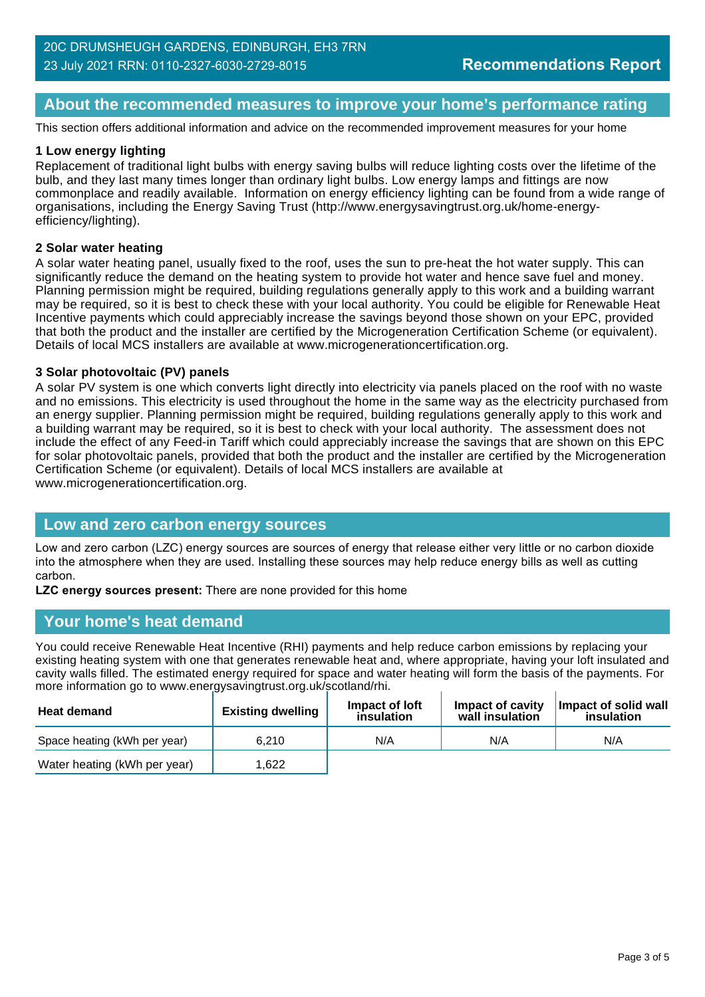## **About the recommended measures to improve your home's performance rating**

This section offers additional information and advice on the recommended improvement measures for your home

#### **1 Low energy lighting**

Replacement of traditional light bulbs with energy saving bulbs will reduce lighting costs over the lifetime of the bulb, and they last many times longer than ordinary light bulbs. Low energy lamps and fittings are now commonplace and readily available. Information on energy efficiency lighting can be found from a wide range of organisations, including the Energy Saving Trust (http://www.energysavingtrust.org.uk/home-energyefficiency/lighting).

#### **2 Solar water heating**

A solar water heating panel, usually fixed to the roof, uses the sun to pre-heat the hot water supply. This can significantly reduce the demand on the heating system to provide hot water and hence save fuel and money. Planning permission might be required, building regulations generally apply to this work and a building warrant may be required, so it is best to check these with your local authority. You could be eligible for Renewable Heat Incentive payments which could appreciably increase the savings beyond those shown on your EPC, provided that both the product and the installer are certified by the Microgeneration Certification Scheme (or equivalent). Details of local MCS installers are available at www.microgenerationcertification.org.

#### **3 Solar photovoltaic (PV) panels**

A solar PV system is one which converts light directly into electricity via panels placed on the roof with no waste and no emissions. This electricity is used throughout the home in the same way as the electricity purchased from an energy supplier. Planning permission might be required, building regulations generally apply to this work and a building warrant may be required, so it is best to check with your local authority. The assessment does not include the effect of any Feed-in Tariff which could appreciably increase the savings that are shown on this EPC for solar photovoltaic panels, provided that both the product and the installer are certified by the Microgeneration Certification Scheme (or equivalent). Details of local MCS installers are available at www.microgenerationcertification.org.

#### **Low and zero carbon energy sources**

Low and zero carbon (LZC) energy sources are sources of energy that release either very little or no carbon dioxide into the atmosphere when they are used. Installing these sources may help reduce energy bills as well as cutting carbon.

**LZC energy sources present:** There are none provided for this home

#### **Your home's heat demand**

You could receive Renewable Heat Incentive (RHI) payments and help reduce carbon emissions by replacing your existing heating system with one that generates renewable heat and, where appropriate, having your loft insulated and cavity walls filled. The estimated energy required for space and water heating will form the basis of the payments. For more information go to www.energysavingtrust.org.uk/scotland/rhi.

| <b>Heat demand</b>           | <b>Existing dwelling</b> | Impact of Joft<br>insulation | Impact of cavity<br>wall insulation | Impact of solid wall<br>insulation |
|------------------------------|--------------------------|------------------------------|-------------------------------------|------------------------------------|
| Space heating (kWh per year) | 6.210                    | N/A                          | N/A                                 | N/A                                |
| Water heating (kWh per year) | .622                     |                              |                                     |                                    |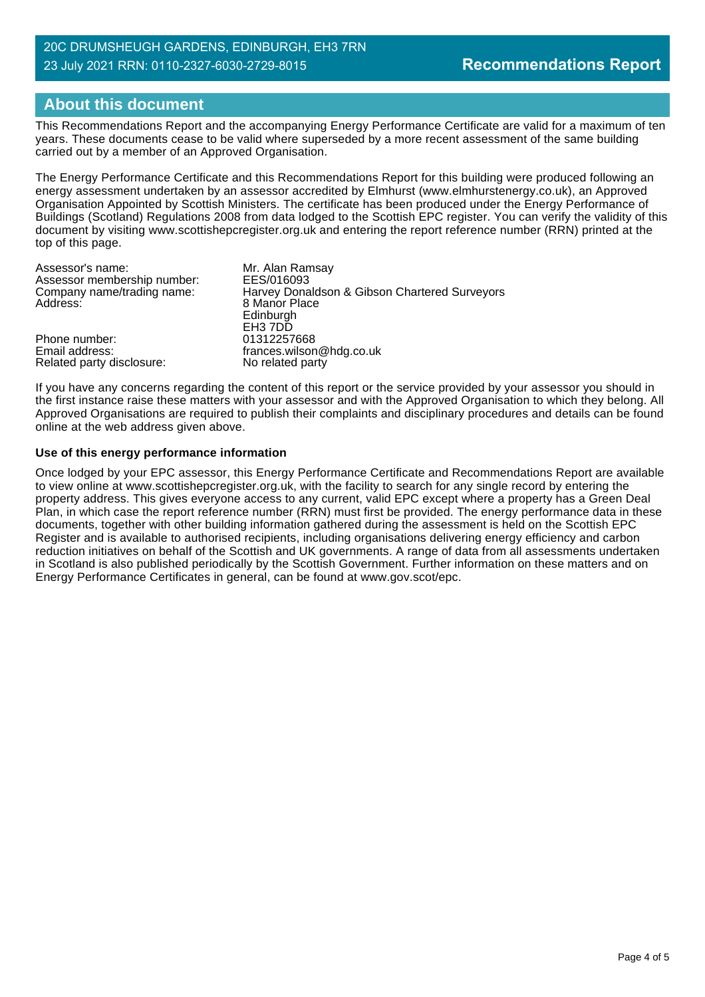## **About this document**

This Recommendations Report and the accompanying Energy Performance Certificate are valid for a maximum of ten years. These documents cease to be valid where superseded by a more recent assessment of the same building carried out by a member of an Approved Organisation.

The Energy Performance Certificate and this Recommendations Report for this building were produced following an energy assessment undertaken by an assessor accredited by Elmhurst (www.elmhurstenergy.co.uk), an Approved Organisation Appointed by Scottish Ministers. The certificate has been produced under the Energy Performance of Buildings (Scotland) Regulations 2008 from data lodged to the Scottish EPC register. You can verify the validity of this document by visiting www.scottishepcregister.org.uk and entering the report reference number (RRN) printed at the top of this page.

| Assessor's name:<br>Assessor membership number:<br>Company name/trading name: | Mr. Alan Ramsay<br>EES/016093                                  |
|-------------------------------------------------------------------------------|----------------------------------------------------------------|
| Address:                                                                      | Harvey Donaldson & Gibson Chartered Surveyors<br>8 Manor Place |
|                                                                               | Edinburgh<br>EH <sub>3</sub> 7DD                               |
| Phone number:<br>Email address:<br>Related party disclosure:                  | 01312257668<br>frances.wilson@hdg.co.uk<br>No related party    |

If you have any concerns regarding the content of this report or the service provided by your assessor you should in the first instance raise these matters with your assessor and with the Approved Organisation to which they belong. All Approved Organisations are required to publish their complaints and disciplinary procedures and details can be found online at the web address given above.

#### **Use of this energy performance information**

Once lodged by your EPC assessor, this Energy Performance Certificate and Recommendations Report are available to view online at www.scottishepcregister.org.uk, with the facility to search for any single record by entering the property address. This gives everyone access to any current, valid EPC except where a property has a Green Deal Plan, in which case the report reference number (RRN) must first be provided. The energy performance data in these documents, together with other building information gathered during the assessment is held on the Scottish EPC Register and is available to authorised recipients, including organisations delivering energy efficiency and carbon reduction initiatives on behalf of the Scottish and UK governments. A range of data from all assessments undertaken in Scotland is also published periodically by the Scottish Government. Further information on these matters and on Energy Performance Certificates in general, can be found at www.gov.scot/epc.